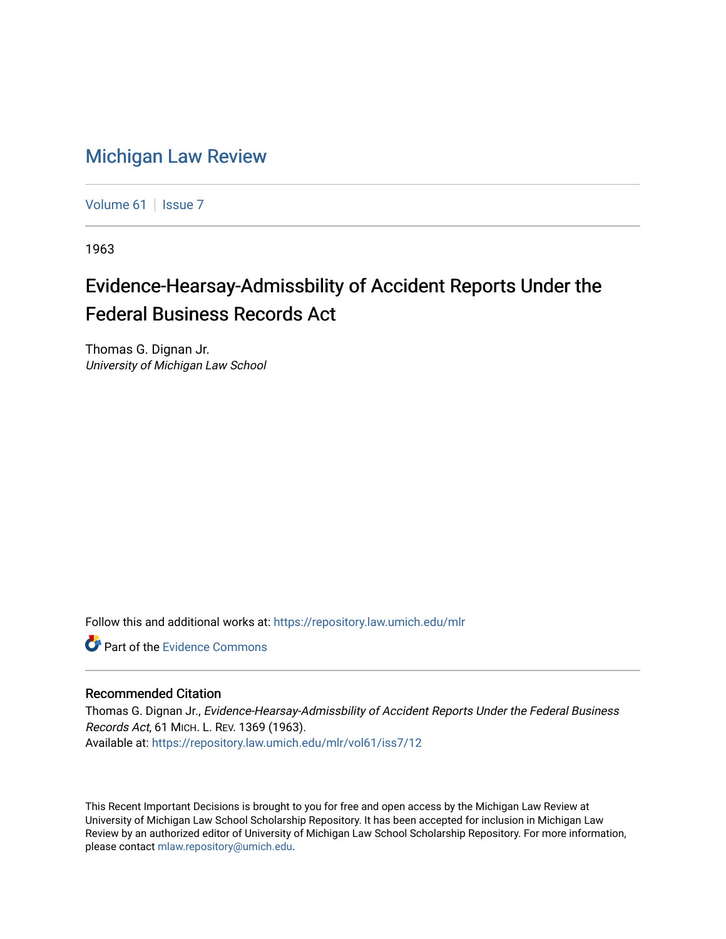## [Michigan Law Review](https://repository.law.umich.edu/mlr)

[Volume 61](https://repository.law.umich.edu/mlr/vol61) | [Issue 7](https://repository.law.umich.edu/mlr/vol61/iss7)

1963

## Evidence-Hearsay-Admissbility of Accident Reports Under the Federal Business Records Act

Thomas G. Dignan Jr. University of Michigan Law School

Follow this and additional works at: [https://repository.law.umich.edu/mlr](https://repository.law.umich.edu/mlr?utm_source=repository.law.umich.edu%2Fmlr%2Fvol61%2Fiss7%2F12&utm_medium=PDF&utm_campaign=PDFCoverPages) 

**C** Part of the Evidence Commons

## Recommended Citation

Thomas G. Dignan Jr., Evidence-Hearsay-Admissbility of Accident Reports Under the Federal Business Records Act, 61 MICH. L. REV. 1369 (1963). Available at: [https://repository.law.umich.edu/mlr/vol61/iss7/12](https://repository.law.umich.edu/mlr/vol61/iss7/12?utm_source=repository.law.umich.edu%2Fmlr%2Fvol61%2Fiss7%2F12&utm_medium=PDF&utm_campaign=PDFCoverPages) 

This Recent Important Decisions is brought to you for free and open access by the Michigan Law Review at University of Michigan Law School Scholarship Repository. It has been accepted for inclusion in Michigan Law Review by an authorized editor of University of Michigan Law School Scholarship Repository. For more information, please contact [mlaw.repository@umich.edu.](mailto:mlaw.repository@umich.edu)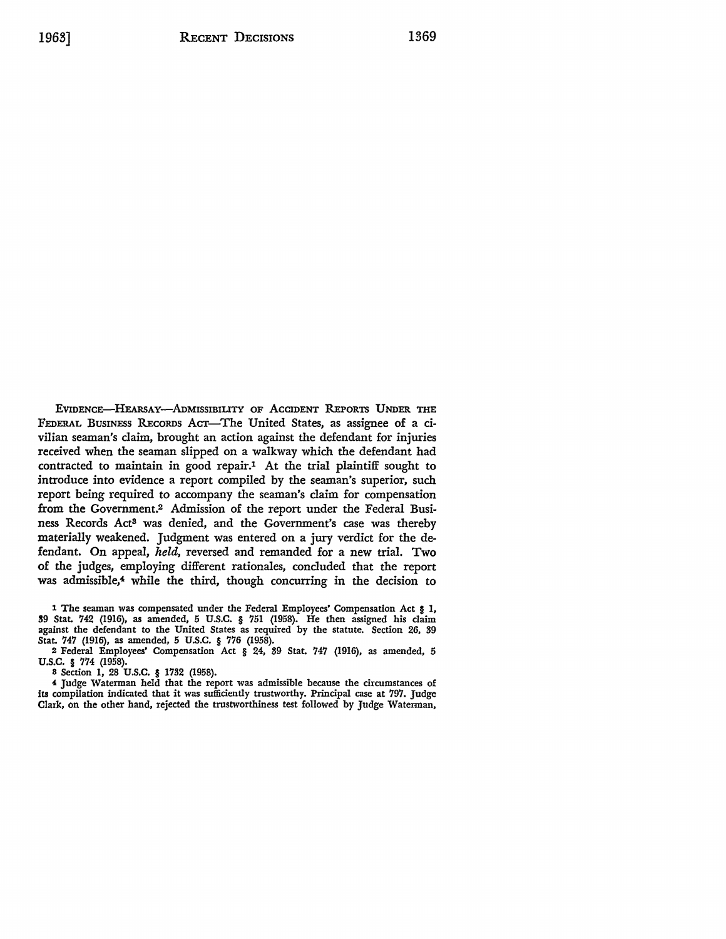EVIDENCE-HEARSAY-ADMISSIBILITY OF ACCIDENT REPORTS UNDER THE FEDERAL BUSINESS RECORDS ACT-The United States, as assignee of a civilian seaman's claim, brought an action against the defendant for injuries received when the seaman slipped on a walkway which the defendant had contracted to maintain in good repair.1 At the trial plaintiff sought to introduce into evidence a report compiled by the seaman's superior, such report being required to accompany the seaman's claim for compensation from the Government.2 Admission of the report under the Federal Business Records Act3 was denied, and the Government's case was thereby materially weakened. Judgment was entered on a jury verdict for the defendant. On appeal, *held,* reversed and remanded for a new trial. Two of the judges, employing different rationales, concluded that the report was admissible,<sup>4</sup> while the third, though concurring in the decision to

1 The seaman was compensated under the Federal Employees' Compensation Act § 1, !19 Stat. 742 (1916), as amended, 5 U.S.C. § 751 (1958). He then assigned his claim against the defendant to the United States as required by the statute. Section 26, 39 Stat. 747 (1916), as amended, 5 U.S.C. § 776 (1958).

2 Federal Employees' Compensation Act § 24, 39 Stat. 747 (1916), as amended, 5 u.s.c. § 774 (1958).

s Section 1, 28 U.S.C. § 1732 (1958).

4' Judge Waterman held that the report was admissible because the circumstances of its compilation indicated that it was sufficiently trustworthy. Principal case at 797. Judge Clark, on the other hand, rejected the trustworthiness test followed by Judge Waterman,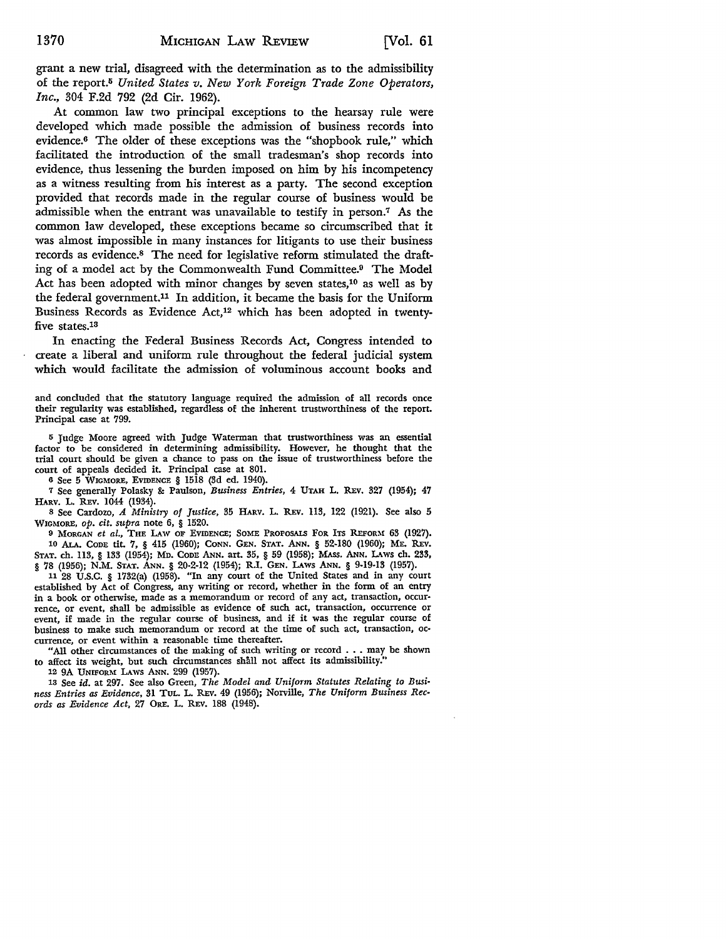grant a new trial, disagreed with the determination as to the admissibility of the report.5 *United States v. New York Foreign Trade Zone Operators, Inc.,* 304 F.2d 792 (2d Cir. 1962).

At common law two principal exceptions to the hearsay rule were developed which made possible the admission of business records into evidence.6 The older of these exceptions was the "shopbook rule," which facilitated the introduction of the small tradesman's shop records into evidence, thus lessening the burden imposed on him by his incompetency as a witness resulting from his interest as a party. The second exception provided that records made in the regular course of business would be admissible when the entrant was unavailable to testify in person.7 As the common law developed, these exceptions became so circumscribed that it was almost impossible in many instances for litigants *to* use their business records as evidence.8 The need for legislative reform stimulated the drafting of a model act by the Commonwealth Fund Committee.9 The Model Act has been adopted with minor changes by seven states,10 as well as by the federal government.11 In addition, it became the basis for the Uniform Business Records as Evidence Act,12 which has been adopted in twentyfive states.13

In enacting the Federal Business Records Act, Congress intended to create a liberal and uniform rule throughout the federal judicial system which would facilitate the admission of voluminous account books and

and concluded that the statutory language required the admission of all records once their regularity was established, regardless of the inherent trustworthiness of the report. Principal case at 799.

<sup>5</sup>Judge Moore agreed with Judge Waterman that trustworthiness was an essential factor to be considered in determining admissibility. However, he thought that the trial court should be given a chance to pass on the issue of trustworthiness before the court of appeals decided it. Principal case at 801.

6 See 5 WIGMORE, EVIDENCE § 1518 (3d ed. 1940).

7 See generally Polasky &: Paulson, *Business Entries,* 4 UTAH L. REv. 327 (1954); 47 HARV. L. REV. 1044 (1934).

s See Cardozo, *A Ministry of Justice,* 35 HARV. L. REv. 113, 122 (1921). See also 5 WIGMoRE, *op. cit. supra* note 6, § 1520.

<sup>9</sup> MORGAN *et al.*, THE LAW OF EVIDENCE; SOME PROPOSALS FOR ITS REFORM 63 (1927). 10 ALA. CODE tit. 7, § 415 (1960); CONN. GEN. STAT. ANN. § 52-180 (1960); ME. REV. STAT. ch. 113, § 133 (1954); Mn. ConE ANN. art. 35, § 59 (1958); MAss. ANN. LAws ch. 233, § 78 (1956); N.M. STAT. ANN. § 20-2-12 (1954); R.I. GEN. LAws ANN. § 9-19-13 (1957).

11 28 U.S.C. § 1732(a) (1958). "In any court of the United States and in any court established by Act of Congress, any writing or record, whether in the form of an entry in a book or otherwise, made as a memorandum or record of any act, transaction, occurrence, or event, shall be admissible as evidence of such act, transaction, occurrence or event, if made in the regular course of business, and if it was the regular course of business to make such memorandum or record at the time of such act, transaction, occurrence, or event within a reasonable time thereafter.

"All other circumstances of the making of such writing or record .•. may be shown to affect its weight, but such circumstances shall not affect its admissibility."

12 9A UNIFORM LAws ANN. 299 (1957).

13 See *id.* at 297. See also Green, *The Model and Uniform Statutes Relating to Business Entries as Evidence,* 31 TuL. L. REv. 49 (1956); Norville, *The Uniform Business Records as Evidence Act,* 27 ORE. L. REV. 188 (1948).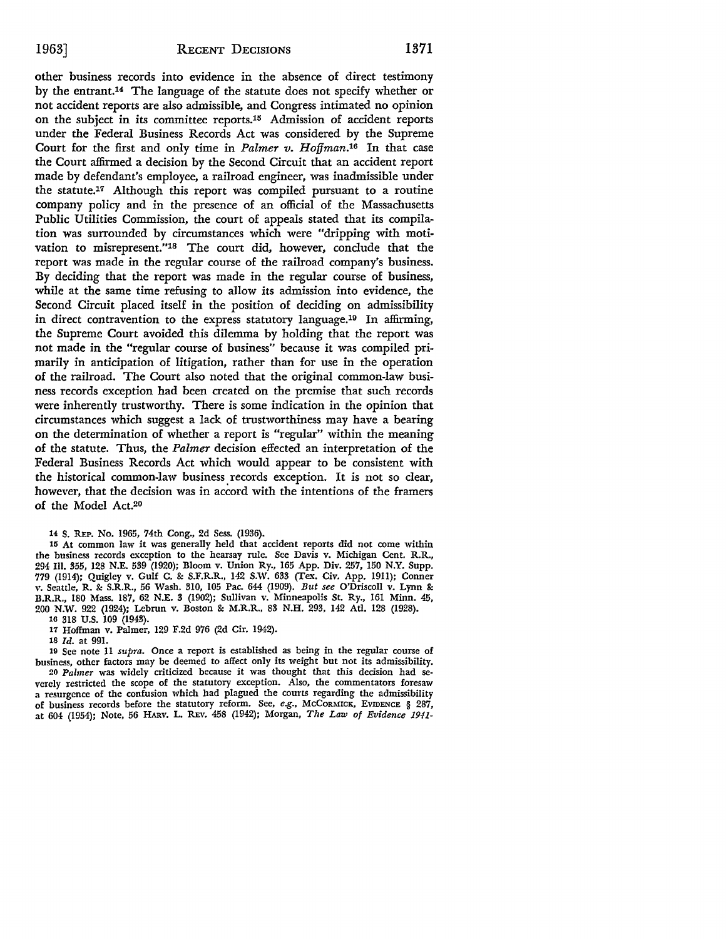other business records into evidence in the absence of direct testimony by the entrant.14 The language of the statute does not specify whether or not accident reports are also admissible, and Congress intimated no opinion on the subject in its committee reports.15 Admission of accident reports under the Federal Business Records *Act* was considered by the Supreme Court for the first and only time in *Palmer v. Hoffman.16* In that case the Court affirmed a decision by the Second Circuit that an accident report made by defendant's employee, a railroad engineer, was inadmissible under the statute.<sup>17</sup> Although this report was compiled pursuant to a routine company policy and in the presence of an official of the Massachusetts Public Utilities Commission, the court of appeals stated that its compilation was surrounded by circumstances which were "dripping with motivation to misrepresent."18 The court did, however, conclude that the report was made in the regular course of the railroad company's business. By deciding that the report was made in the regular course of business, while at the same time refusing *to* allow its admission into evidence, the Second Circuit placed itself in the position of deciding on admissibility in direct contravention to the express statutory language.19 In affirming, the Supreme Court avoided this dilemma by holding that the report was not made in the "regular course of business" because it was compiled primarily in anticipation of litigation, rather than for use in the operation of the railroad. The Court also noted that the original common-law business records exception had been created on the premise that such records were inherently trustworthy. There is some indication in the opinion that circumstances which suggest a lack of trustworthiness may have a bearing on the determination of whether a report is "regular" within the meaning of the statute. Thus, the *Palmer* decision effected an interpretation of the Federal Business Records Act which would appear to be consistent with the historical common-law business records exception. It is not so clear, however, that the decision was in accord with the intentions of the framers of the Model Act.2°

14 S. REP. No. 1965, 74th Cong., 2d Sess. (1936).

15 At common law it was generally held that accident reports did not come within the business records exception to the hearsay rule. See Davis v. Michigan Cent. R.R., 294 III. 355, 128 N.E. 539 (1920); Bloom v. Union Ry., 165 App. Div. 257, 150 N.Y. Supp. 779 (1914); Quigley v. Gulf C. & S.F.R.R., 142 S.W. 633 (Tex. Civ. App. 1911); Conner v. Seattle, R. &: S.R.R., 56 Wash. 310, 105 Pac. 644 (1909). *But see* O'Driscoll v. Lynn &: B.R.R., 180 Mass. 187, 62 N.E. 3 (1902); Sullivan v. Minneapolis St. Ry., 161 Minn. 45, 200 **N.W.** 922 (1924); Lebrun v. Boston &: M.R.R., 83 N.H. 293, 142 Atl. 128 (1928).

16 318 U.S. 109 (1943).

17 Hoffman v. Palmer, 129 F.2d 976 (2d Cir. 1942).

18 *Id.* at 991.

19 See note 11 *supra.* Once a report is established as being in the regular course of business, other factors may be deemed to affect only its weight but not its admissibility. 20 *Palmer* was widely criticized because it was thought that this decision had severely restricted the scope of the statutory exception. Also, the commentators foresaw a resurgence of the confusion which had plagued the courts regarding the admissibility of business records before the statutory reform. See, e.g., McCORMICK, EVIDENCE § 287,

at 604 (1954); Note, 56 HARV. L. REV. 458 (1942); Morgan, *The Law of Evidence 1941*-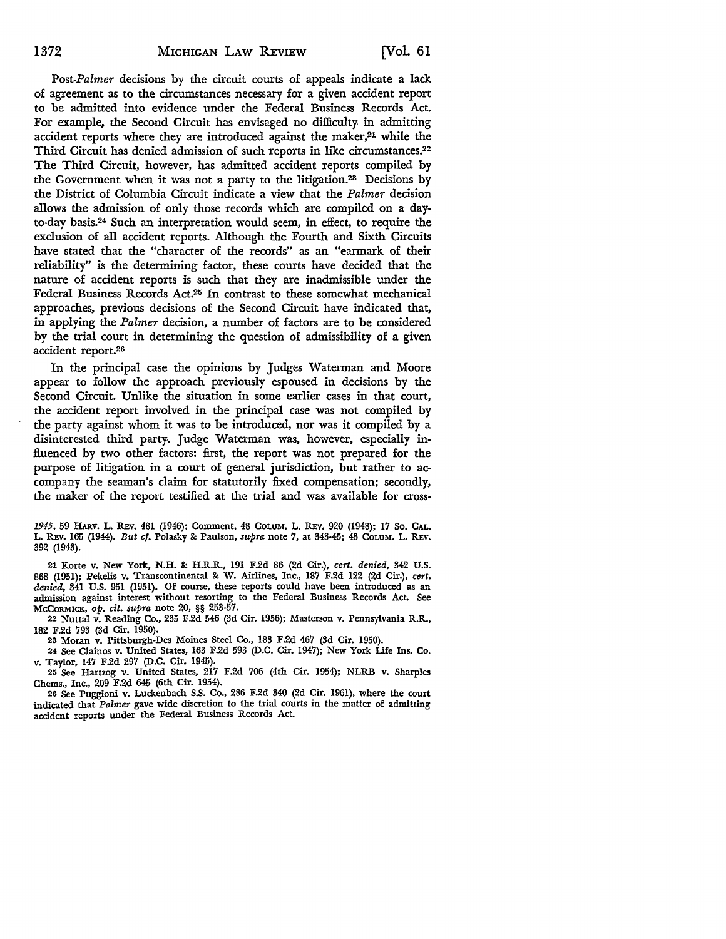*Post-Palmer* decisions by the circuit courts of appeals indicate a lack of agreement as to the circumstances necessary for a given accident report to be admitted into evidence under the Federal Business Records Act. For example, the Second Circuit has envisaged no difficulty in admitting accident reports where they are introduced against the maker,<sup>21</sup> while the Third Circuit has denied admission of such reports in like circumstances.<sup>22</sup> The Third Circuit, however, has admitted accident reports compiled by the Government when it was not a party to the litigation.28 Decisions by the District of Columbia Circuit indicate a view that the *Palmer* decision allows the admission of only those records which are compiled on a dayto-day basis.24 Such an interpretation would seem, in effect, to require the exclusion of all accident reports. Although the Fourth and Sixth Circuits have stated that the "character of the records" as an "earmark of their reliability" is the determining factor, these courts have decided that the nature of accident reports is such that they are inadmissible under the Federal Business Records Act.25 In contrast to these somewhat mechanical approaches, previous decisions of the Second Circuit have indicated that, in applying the *Palmer* decision, a number of factors are to be considered by the trial court in determining the question of admissibility of a **given**  accident report.26

In the principal case the opinions by Judges Waterman and Moore appear to follow the approach previously espoused in decisions by the Second Circuit. Unlike the situation in some earlier cases in that court, the accident report involved in the principal case was not compiled by the party against whom it was to be introduced, nor was it compiled by a disinterested third party. Judge Waterman was, however, especially influenced by two other factors: first, the report was not prepared for the purpose of litigation in a court of general jurisdiction, but rather to accompany the seaman's claim for statutorily fixed compensation; secondly, the maker of the report testified at the trial and was available for cross-

*1945,* 59 HARV. L. REv. 481 (1946); Comment, 48 CoLUM. L. REv. 920 (1948); 17 So. CAL. L. REv. 165 (1944). *But cf.* Polasky &: Paulson, *supra* note 7, at 343-45; 43 CoLUM. L. REv. 392 (1943).

21 Korte v. New York, N.H. &: H.R.R, 191 F.2d 86 (2d Cir.), *cert. denied,* 342 U.S. 868 (1951); Pekelis v. Transcontinental &: W. Airlines, Inc., 187 F.2d 122 (2d Cir.), *cert. denied,* 341 U.S. 951 (1951). Of course, these reports could have been introduced as an admission against interest without resorting to the Federal Business Records Act. See McCormick, op. cit. supra note 20, §§ 253-57.

22 Nuttal v. Reading Co., 235 F.2d 546 (3d Cir. 1956); Masterson v. Pennsylvania R.R., 182 F.2d 793 (3d Cir. 1950).

23 Moran v. Pittsburgh-Des Moines Steel Co., 183 F.2d 467 (3d Cir. 1950).

24 See Clainos v. United States, 163 F.2d 593 (D.C. Cir. 1947); New York Life Ins. Co. v. Taylor, 147 F.2d 297 (D.C. Cir. 1945).

25 See Hartzog v. United States, 217 F.2d 706 (4th Cir. 1954); NLRB v. Sharples Chems., Inc., 209 F.2d 645 (6th Cir. 1954).

26 See Puggioni v. Luckenbach S.S. Co., 286 F.2d 340 (2d Cir. 1961), where the court indicated that *Palmer* gave wide discretion to the trial courts in the matter of admitting accident reports under the Federal Business Records Act.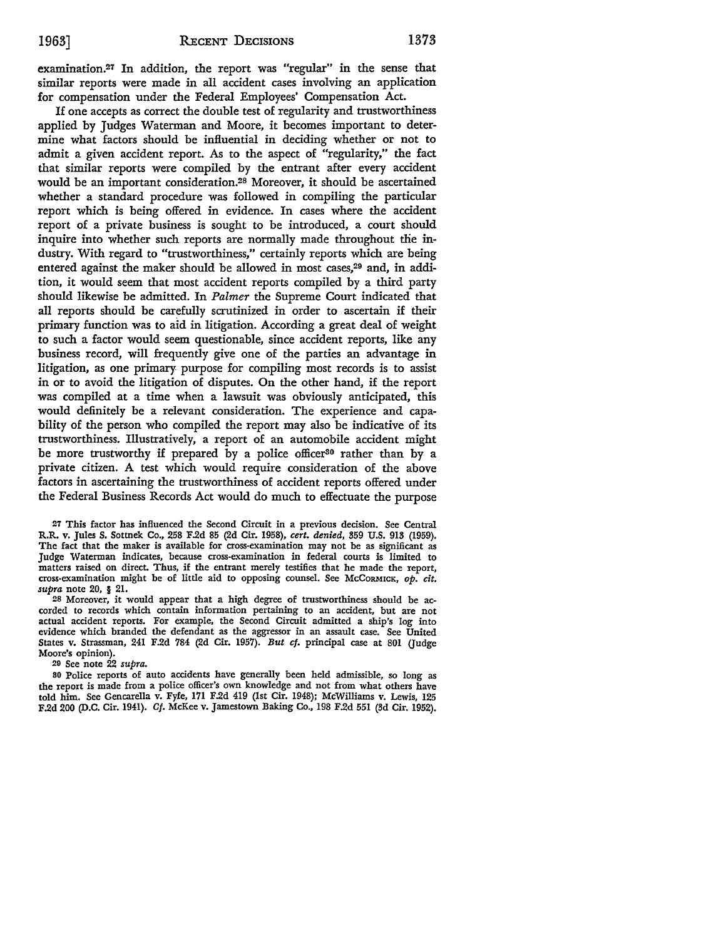examination.27 In addition, the report was "regular" in the sense that similar reports were made in all accident cases involving an application for compensation under the Federal Employees' Compensation Act.

If one accepts as correct the double test of regularity and trustworthiness applied by Judges Waterman and Moore, it becomes important to determine what factors should be influential in deciding whether or not to admit a given accident report. As to the aspect of "regularity," the fact that similar reports were compiled by the entrant after every accident would be an important consideration.28 Moreover, it should be ascertained whether a standard procedure was followed in compiling the particular report which is being offered in evidence. In cases where the accident report of a private business is sought to be introduced, a court should inquire into whether such reports are normally made throughout the industry. With regard to "trustworthiness," certainly reports which are being entered against the maker should be allowed in most cases,<sup>29</sup> and, in addition, it would seem that most accident reports compiled by a third party should likewise be admitted. In *Palmer* the Supreme Court indicated that all reports should be carefully scrutinized in order to ascertain if their primary function was to aid in litigation. According a great deal of weight to such a factor would seem questionable, since accident reports, like any business record, will frequently give one of the parties an advantage in litigation, as one primary purpose for compiling most records is to assist in or to avoid the litigation of disputes. On the other hand, if the report was compiled at a time when a lawsuit was obviously anticipated, this would definitely be a relevant consideration. The experience and capability of the person who compiled the report may also be indicative of its trustworthiness. Illustratively, a report of an automobile accident might be more trustworthy if prepared by a police officer<sup>30</sup> rather than by a private citizen. A test which would require consideration of the above factors in ascertaining the trustworthiness of accident reports offered under the Federal Business Records Act would do much to effectuate the purpose

27 This factor has influenced the Second Circuit in a previous decision. See Central R.R. v. Jules S. Sottnek Co., 258 F.2d 85 (2d Cir. 1958), *cert. denied,* 359 U.S. 913 (1959). The fact that the maker is available for cross-examination may not be as significant as Judge Waterman indicates, because cross-examination in federal courts is limited to matters raised on direct. Thus, if the entrant merely testifies that he made the report, cross-examination might be of little aid to opposing counsel. See McCORMICK, *op. cit. supra* note 20, § 21.

28 Moreover, it would appear that a high degree of trustworthiness should be accorded to records which contain information pertaining to an accident, but are not actual accident reports. For example, the Second Circuit admitted a ship's log into evidence which branded the defendant as the aggressor in an assault case. See United States v. Strassman, 241 F.2d 784 (2d Cir. 1957). *But cf.* principal case at 801 Gudge Moore's opinion).

20 See note 22 *supra.* 

so Police reports of auto accidents have generally been held admissible, so long as the report is made from a police officer's own knowledge and not from what others have told him. See Gencarella v. Fyfe, 171 F.2d 419 (1st Cir. 1948); McWilliams v. Lewis, 125 F.2d 200 (D.C. Cir. 1941). Cf. McKee v. Jamestown Baking Co., 198 F.2d 551 (3d Cir. 1952).